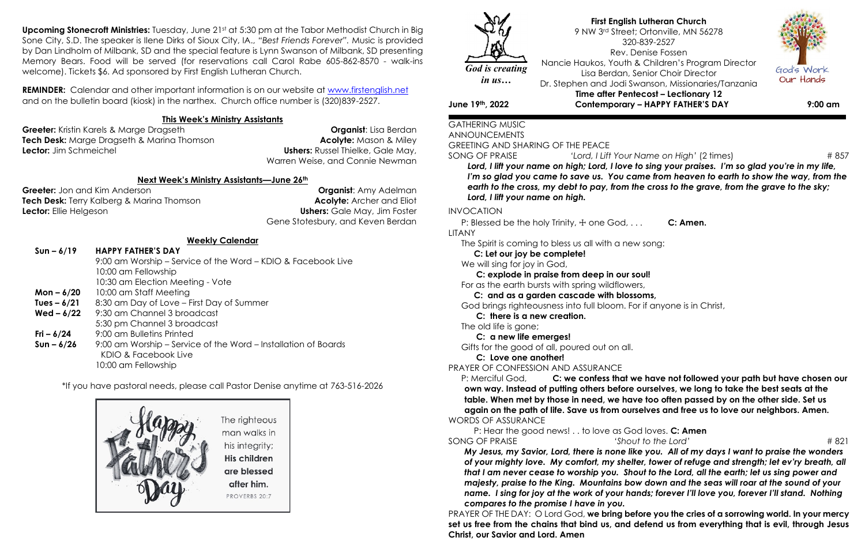**Upcoming Stonecroft Ministries:** Tuesday, June 21st at 5:30 pm at the Tabor Methodist Church in Big Sone City, S.D. The speaker is Ilene Dirks of Sioux City, IA., *"Best Friends Forever".* Music is provided by Dan Lindholm of Milbank, SD and the special feature is Lynn Swanson of Milbank, SD presenting Memory Bears. Food will be served (for reservations call Carol Rabe 605-862-8570 - walk-ins welcome). Tickets \$6. Ad sponsored by First English Lutheran Church.

**REMINDER:** Calendar and other important information is on our website at [www.firstenglish.net](http://www.firstenglish.net/) and on the bulletin board (kiosk) in the narthex. Church office number is (320)839-2527.

**Greeter:** Jon and Kim Anderson **Creeter:** Jon and Kim Anderson **Tech Desk:** Terry Kalberg & Marina Thomson **Acolyte:** Archer and Eliot **Lector:** Ellie Helgeson **Ushers:** Gale May, Jim Foster

## **This Week's Ministry Assistants**

**Greeter:** Kristin Karels & Marge Dragseth **Organist**: Lisa Berdan **Tech Desk:** Marge Dragseth & Marina Thomson **Acolyte:** Mason & Miley **Lector:** Jim Schmeichel **Ushers:** Russel Thielke, Gale May,

Warren Weise, and Connie Newman

## **Next Week's Ministry Assistants—June 26th**

Gene Stotesbury, and Keven Berdan

### **Weekly Calendar**

P: Blessed be the holy Trinity,  $\pm$  one God, ... **C: Amen.** LITANY

| <b>HAPPY FATHER'S DAY</b>                                      |
|----------------------------------------------------------------|
| 9:00 am Worship – Service of the Word – KDIO & Facebook Live   |
| 10:00 am Fellowship                                            |
| 10:30 am Election Meeting - Vote                               |
| 10:00 am Staff Meeting                                         |
| 8:30 am Day of Love - First Day of Summer                      |
| 9:30 am Channel 3 broadcast                                    |
| 5:30 pm Channel 3 broadcast                                    |
| 9:00 am Bulletins Printed                                      |
| 9:00 am Worship – Service of the Word – Installation of Boards |
| KDIO & Facebook Live                                           |
| 10:00 am Fellowship                                            |
|                                                                |

\*If you have pastoral needs, please call Pastor Denise anytime at 763-516-2026



**First English Lutheran Church** 9 NW 3rd Street; Ortonville, MN 56278 320-839-2527 Rev. Denise Fossen Nancie Haukos, Youth & Children's Program Director Lisa Berdan, Senior Choir Director Dr. Stephen and Jodi Swanson, Missionaries/Tanzania **Time after Pentecost – Lectionary 12 June 19th, 2022 Contemporary – HAPPY FATHER'S DAY 9:00 am**

GATHERING MUSIC ANNOUNCEMENTS

GREETING AND SHARING OF THE PEACE SONG OF PRAISE *'Lord, I Lift Your Name on High'* (2 times) # 857

*Lord, I lift your name on high; Lord, I love to sing your praises. I'm so glad you're in my life, I'm so glad you came to save us. You came from heaven to earth to show the way, from the earth to the cross, my debt to pay, from the cross to the grave, from the grave to the sky; Lord, I lift your name on high.*

### INVOCATION

The Spirit is coming to bless us all with a new song:

**C: Let our joy be complete!**

We will sing for joy in God,

**C: explode in praise from deep in our soul!** For as the earth bursts with spring wildflowers, **C: and as a garden cascade with blossoms,**  God brings righteousness into full bloom. For if anyone is in Christ,

**C: there is a new creation.**

The old life is gone;

# **C: a new life emerges!**

Gifts for the good of all, poured out on all. **C: Love one another!**

PRAYER OF CONFESSION AND ASSURANCE

P: Merciful God, **C: we confess that we have not followed your path but have chosen our own way. Instead of putting others before ourselves, we long to take the best seats at the table. When met by those in need, we have too often passed by on the other side. Set us again on the path of life. Save us from ourselves and free us to love our neighbors. Amen.** WORDS OF ASSURANCE

P: Hear the good news! . . to love as God loves. **C: Amen** SONG OF PRAISE *'Shout to the Lord'* # 821

*My Jesus, my Savior, Lord, there is none like you. All of my days I want to praise the wonders of your mighty love. My comfort, my shelter, tower of refuge and strength; let ev'ry breath, all that I am never cease to worship you. Shout to the Lord, all the earth; let us sing power and majesty, praise to the King. Mountains bow down and the seas will roar at the sound of your name. I sing for joy at the work of your hands; forever I'll love you, forever I'll stand. Nothing compares to the promise I have in you.*

PRAYER OF THE DAY: O Lord God, **we bring before you the cries of a sorrowing world. In your mercy set us free from the chains that bind us, and defend us from everything that is evil, through Jesus Christ, our Savior and Lord. Amen**



*God is creating*

*in us…*